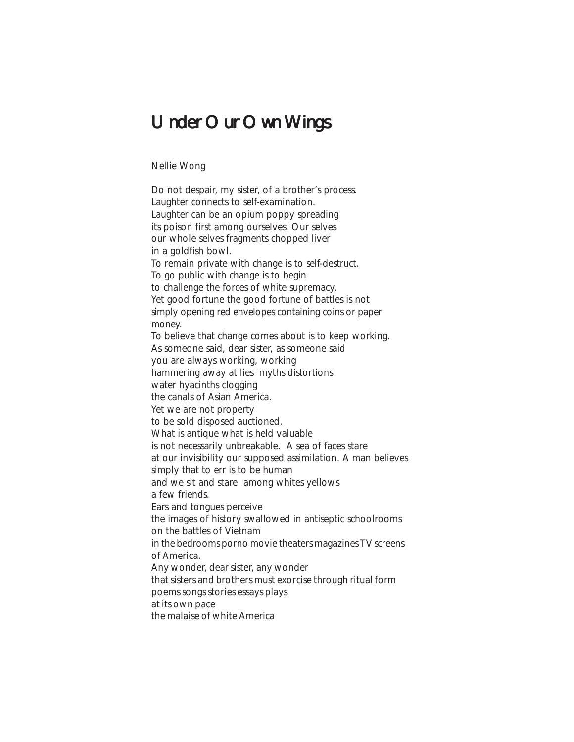## **Under Our Own Wings**

Nellie Wong

Do not despair, my sister, of a brother's process. Laughter connects to self-examination. Laughter can be an opium poppy spreading its poison first among ourselves. Our selves our whole selves fragments chopped liver in a goldfish bowl. To remain private with change is to self-destruct. To go public with change is to begin to challenge the forces of white supremacy. Yet good fortune the good fortune of battles is not simply opening red envelopes containing coins or paper money. To believe that change comes about is to keep working. As someone said, dear sister, as someone said you are always working, working hammering away at lies myths distortions water hyacinths clogging the canals of Asian America. Yet we are not property to be sold disposed auctioned. What is antique what is held valuable is not necessarily unbreakable. A sea of faces stare at our invisibility our supposed assimilation. A man believes simply that to err is to be human and we sit and stare among whites yellows a few friends. Ears and tongues perceive the images of history swallowed in antiseptic schoolrooms on the battles of Vietnam in the bedrooms porno movie theaters magazines TV screens of America. Any wonder, dear sister, any wonder that sisters and brothers must exorcise through ritual form poems songs stories essays plays at its own pace the malaise of white America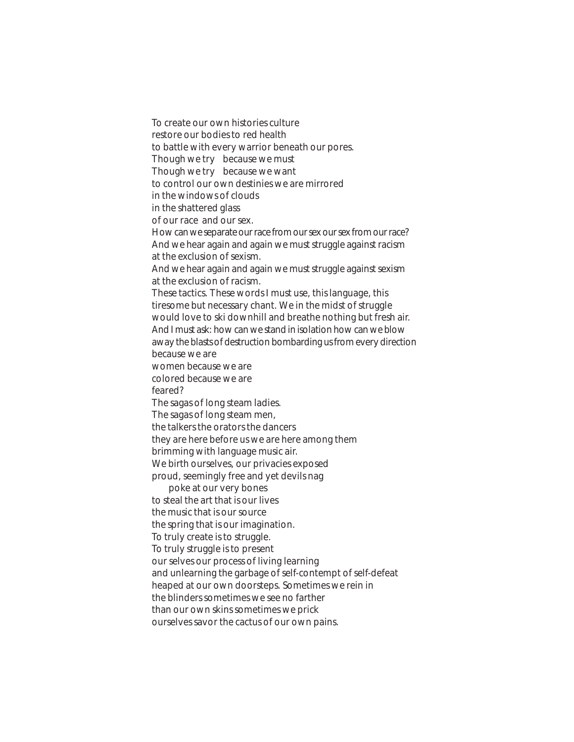To create our own histories culture restore our bodies to red health to battle with every warrior beneath our pores. Though we try because we must Though we try because we want to control our own destinies we are mirrored in the windows of clouds in the shattered glass of our race and our sex. How can we separate our race from our sex our sex from our race? And we hear again and again we must struggle against racism at the exclusion of sexism. And we hear again and again we must struggle against sexism at the exclusion of racism. These tactics. These words I must use, this language, this tiresome but necessary chant. We in the midst of struggle would love to ski downhill and breathe nothing but fresh air. And I must ask: how can we stand in isolation how can we blow away the blasts of destruction bombarding us from every direction because we are women because we are colored because we are feared? The sagas of long steam ladies. The sagas of long steam men, the talkers the orators the dancers they are here before us we are here among them brimming with language music air. We birth ourselves, our privacies exposed proud, seemingly free and yet devils nag poke at our very bones to steal the art that is our lives the music that is our source the spring that is our imagination. To truly create is to struggle. To truly struggle is to present our selves our process of living learning and unlearning the garbage of self-contempt of self-defeat heaped at our own doorsteps. Sometimes we rein in the blinders sometimes we see no farther than our own skins sometimes we prick ourselves savor the cactus of our own pains.